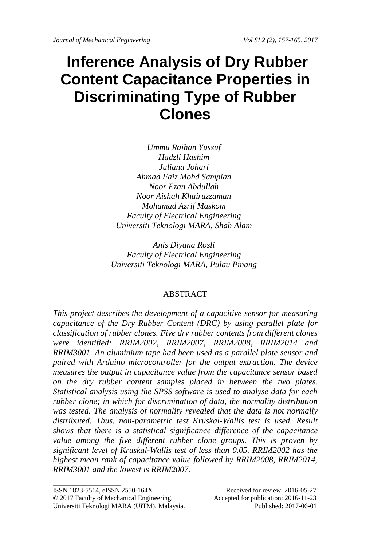# **Inference Analysis of Dry Rubber Content Capacitance Properties in Discriminating Type of Rubber Clones**

*Ummu Raihan Yussuf Hadzli Hashim Juliana Johari Ahmad Faiz Mohd Sampian Noor Ezan Abdullah Noor Aishah Khairuzzaman Mohamad Azrif Maskom Faculty of Electrical Engineering Universiti Teknologi MARA, Shah Alam*

*Anis Diyana Rosli Faculty of Electrical Engineering Universiti Teknologi MARA, Pulau Pinang*

## ABSTRACT

*This project describes the development of a capacitive sensor for measuring capacitance of the Dry Rubber Content (DRC) by using parallel plate for classification of rubber clones. Five dry rubber contents from different clones were identified: RRIM2002, RRIM2007, RRIM2008, RRIM2014 and RRIM3001. An aluminium tape had been used as a parallel plate sensor and paired with Arduino microcontroller for the output extraction. The device measures the output in capacitance value from the capacitance sensor based on the dry rubber content samples placed in between the two plates. Statistical analysis using the SPSS software is used to analyse data for each rubber clone; in which for discrimination of data, the normality distribution was tested. The analysis of normality revealed that the data is not normally distributed. Thus, non-parametric test Kruskal-Wallis test is used. Result shows that there is a statistical significance difference of the capacitance*  value among the five different rubber clone groups. This is proven by *significant level of Kruskal-Wallis test of less than 0.05. RRIM2002 has the highest mean rank of capacitance value followed by RRIM2008, RRIM2014, RRIM3001 and the lowest is RRIM2007.*

\_\_\_\_\_\_\_\_\_\_\_\_\_\_\_\_\_\_\_\_

ISSN 1823-5514, eISSN 2550-164X Received for review: 2016-05-27

<sup>© 2017</sup> Faculty of Mechanical Engineering, Accepted for publication: 2016-11-23 Universiti Teknologi MARA (UiTM), Malaysia. Published: 2017-06-01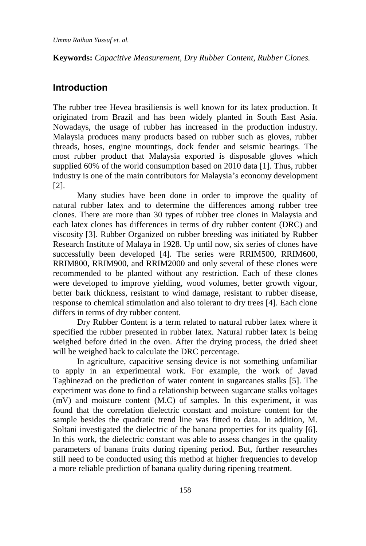**Keywords:** *Capacitive Measurement, Dry Rubber Content, Rubber Clones.*

# **Introduction**

The rubber tree Hevea brasiliensis is well known for its latex production. It originated from Brazil and has been widely planted in South East Asia. Nowadays, the usage of rubber has increased in the production industry. Malaysia produces many products based on rubber such as gloves, rubber threads, hoses, engine mountings, dock fender and seismic bearings. The most rubber product that Malaysia exported is disposable gloves which supplied 60% of the world consumption based on 2010 data [1]. Thus, rubber industry is one of the main contributors for Malaysia's economy development [2].

Many studies have been done in order to improve the quality of natural rubber latex and to determine the differences among rubber tree clones. There are more than 30 types of rubber tree clones in Malaysia and each latex clones has differences in terms of dry rubber content (DRC) and viscosity [3]. Rubber Organized on rubber breeding was initiated by Rubber Research Institute of Malaya in 1928. Up until now, six series of clones have successfully been developed [4]. The series were RRIM500, RRIM600, RRIM800, RRIM900, and RRIM2000 and only several of these clones were recommended to be planted without any restriction. Each of these clones were developed to improve yielding, wood volumes, better growth vigour, better bark thickness, resistant to wind damage, resistant to rubber disease, response to chemical stimulation and also tolerant to dry trees [4]. Each clone differs in terms of dry rubber content.

Dry Rubber Content is a term related to natural rubber latex where it specified the rubber presented in rubber latex. Natural rubber latex is being weighed before dried in the oven. After the drying process, the dried sheet will be weighed back to calculate the DRC percentage.

In agriculture, capacitive sensing device is not something unfamiliar to apply in an experimental work. For example, the work of Javad Taghinezad on the prediction of water content in sugarcanes stalks [5]. The experiment was done to find a relationship between sugarcane stalks voltages (mV) and moisture content (M.C) of samples. In this experiment, it was found that the correlation dielectric constant and moisture content for the sample besides the quadratic trend line was fitted to data. In addition, M. Soltani investigated the dielectric of the banana properties for its quality [6]. In this work, the dielectric constant was able to assess changes in the quality parameters of banana fruits during ripening period. But, further researches still need to be conducted using this method at higher frequencies to develop a more reliable prediction of banana quality during ripening treatment.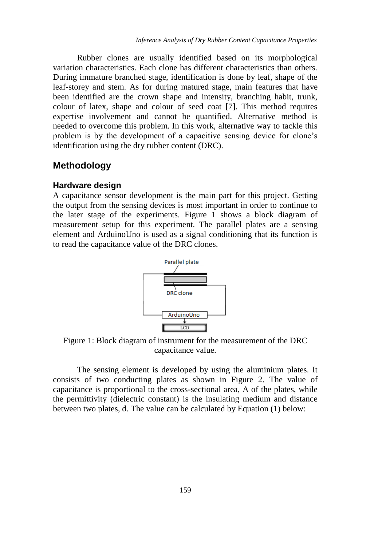Rubber clones are usually identified based on its morphological variation characteristics. Each clone has different characteristics than others. During immature branched stage, identification is done by leaf, shape of the leaf-storey and stem. As for during matured stage, main features that have been identified are the crown shape and intensity, branching habit, trunk, colour of latex, shape and colour of seed coat [7]. This method requires expertise involvement and cannot be quantified. Alternative method is needed to overcome this problem. In this work, alternative way to tackle this problem is by the development of a capacitive sensing device for clone's identification using the dry rubber content (DRC).

## **Methodology**

#### **Hardware design**

A capacitance sensor development is the main part for this project. Getting the output from the sensing devices is most important in order to continue to the later stage of the experiments. Figure 1 shows a block diagram of measurement setup for this experiment. The parallel plates are a sensing element and ArduinoUno is used as a signal conditioning that its function is to read the capacitance value of the DRC clones.



Figure 1: Block diagram of instrument for the measurement of the DRC capacitance value.

The sensing element is developed by using the aluminium plates. It consists of two conducting plates as shown in Figure 2. The value of capacitance is proportional to the cross-sectional area, A of the plates, while the permittivity (dielectric constant) is the insulating medium and distance between two plates, d. The value can be calculated by Equation (1) below: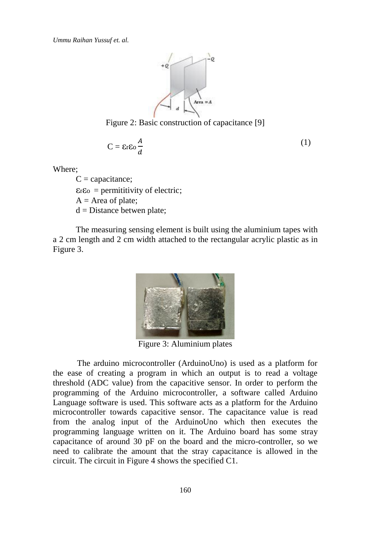*Ummu Raihan Yussuf et. al.*



Figure 2: Basic construction of capacitance [9]

$$
C = \varepsilon r \varepsilon \omega \frac{A}{d} \tag{1}
$$

Where;

 $C =$  capacitance;  $\varepsilon$ <sub>r</sub> $\varepsilon$ <sub>o</sub> = permititivity of electric;  $A = Area of plate;$  $d = Distance$  betwen plate;

The measuring sensing element is built using the aluminium tapes with a 2 cm length and 2 cm width attached to the rectangular acrylic plastic as in Figure 3.



Figure 3: Aluminium plates

The arduino microcontroller (ArduinoUno) is used as a platform for the ease of creating a program in which an output is to read a voltage threshold (ADC value) from the capacitive sensor. In order to perform the programming of the Arduino microcontroller, a software called Arduino Language software is used. This software acts as a platform for the Arduino microcontroller towards capacitive sensor. The capacitance value is read from the analog input of the ArduinoUno which then executes the programming language written on it. The Arduino board has some stray capacitance of around 30 pF on the board and the micro-controller, so we need to calibrate the amount that the stray capacitance is allowed in the circuit. The circuit in Figure 4 shows the specified C1.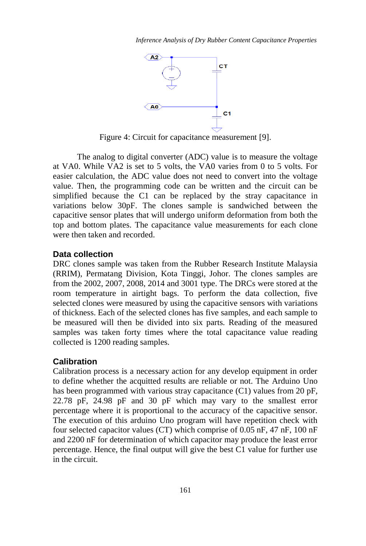

Figure 4: Circuit for capacitance measurement [9].

The analog to digital converter (ADC) value is to measure the voltage at VA0. While VA2 is set to 5 volts, the VA0 varies from 0 to 5 volts. For easier calculation, the ADC value does not need to convert into the voltage value. Then, the programming code can be written and the circuit can be simplified because the C1 can be replaced by the stray capacitance in variations below 30pF. The clones sample is sandwiched between the capacitive sensor plates that will undergo uniform deformation from both the top and bottom plates. The capacitance value measurements for each clone were then taken and recorded.

#### **Data collection**

DRC clones sample was taken from the Rubber Research Institute Malaysia (RRIM), Permatang Division, Kota Tinggi, Johor. The clones samples are from the 2002, 2007, 2008, 2014 and 3001 type. The DRCs were stored at the room temperature in airtight bags. To perform the data collection, five selected clones were measured by using the capacitive sensors with variations of thickness. Each of the selected clones has five samples, and each sample to be measured will then be divided into six parts. Reading of the measured samples was taken forty times where the total capacitance value reading collected is 1200 reading samples.

#### **Calibration**

Calibration process is a necessary action for any develop equipment in order to define whether the acquitted results are reliable or not. The Arduino Uno has been programmed with various stray capacitance (C1) values from 20 pF, 22.78 pF, 24.98 pF and 30 pF which may vary to the smallest error percentage where it is proportional to the accuracy of the capacitive sensor. The execution of this arduino Uno program will have repetition check with four selected capacitor values (CT) which comprise of 0.05 nF, 47 nF, 100 nF and 2200 nF for determination of which capacitor may produce the least error percentage. Hence, the final output will give the best C1 value for further use in the circuit.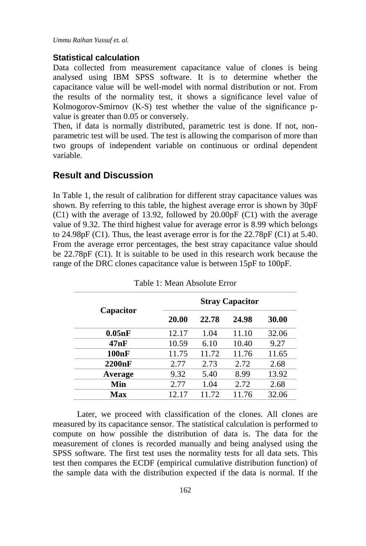*Ummu Raihan Yussuf et. al.*

#### **Statistical calculation**

Data collected from measurement capacitance value of clones is being analysed using IBM SPSS software. It is to determine whether the capacitance value will be well-model with normal distribution or not. From the results of the normality test, it shows a significance level value of Kolmogorov-Smirnov (K-S) test whether the value of the significance pvalue is greater than 0.05 or conversely.

Then, if data is normally distributed, parametric test is done. If not, nonparametric test will be used. The test is allowing the comparison of more than two groups of independent variable on continuous or ordinal dependent variable.

## **Result and Discussion**

In Table 1, the result of calibration for different stray capacitance values was shown. By referring to this table, the highest average error is shown by 30pF (C1) with the average of 13.92, followed by 20.00pF (C1) with the average value of 9.32. The third highest value for average error is 8.99 which belongs to 24.98pF (C1). Thus, the least average error is for the 22.78pF (C1) at 5.40. From the average error percentages, the best stray capacitance value should be 22.78pF (C1). It is suitable to be used in this research work because the range of the DRC clones capacitance value is between 15pF to 100pF.

|           | <b>Stray Capacitor</b> |       |       |       |
|-----------|------------------------|-------|-------|-------|
| Capacitor | 20.00                  | 22.78 | 24.98 | 30.00 |
| 0.05nF    | 12.17                  | 1.04  | 11.10 | 32.06 |
| 47nF      | 10.59                  | 6.10  | 10.40 | 9.27  |
| 100nF     | 11.75                  | 11.72 | 11.76 | 11.65 |
| 2200nF    | 2.77                   | 2.73  | 2.72  | 2.68  |
| Average   | 9.32                   | 5.40  | 8.99  | 13.92 |
| Min       | 2.77                   | 1.04  | 2.72  | 2.68  |
| Max       | 12.17                  | 11.72 | 11.76 | 32.06 |

Table 1: Mean Absolute Error

Later, we proceed with classification of the clones. All clones are measured by its capacitance sensor. The statistical calculation is performed to compute on how possible the distribution of data is. The data for the measurement of clones is recorded manually and being analysed using the SPSS software. The first test uses the normality tests for all data sets. This test then compares the ECDF (empirical cumulative distribution function) of the sample data with the distribution expected if the data is normal. If the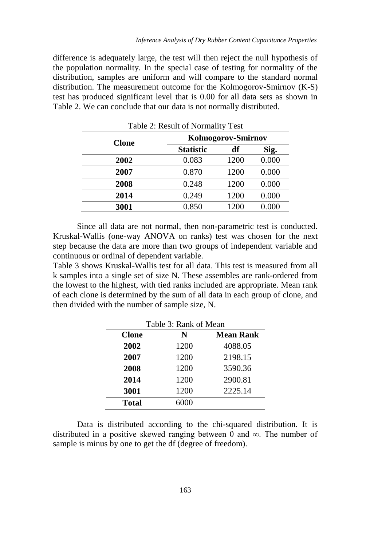difference is adequately large, the test will then reject the null hypothesis of the population normality. In the special case of testing for normality of the distribution, samples are uniform and will compare to the standard normal distribution. The measurement outcome for the Kolmogorov-Smirnov (K-S) test has produced significant level that is 0.00 for all data sets as shown in Table 2. We can conclude that our data is not normally distributed.

| Table 2: Result of Normality Test |                    |      |       |  |
|-----------------------------------|--------------------|------|-------|--|
| <b>Clone</b>                      | Kolmogorov-Smirnov |      |       |  |
|                                   | <b>Statistic</b>   | df   | Sig.  |  |
| 2002                              | 0.083              | 1200 | 0.000 |  |
| 2007                              | 0.870              | 1200 | 0.000 |  |
| 2008                              | 0.248              | 1200 | 0.000 |  |
| 2014                              | 0.249              | 1200 | 0.000 |  |
| 3001                              | 0.850              | 1200 | 0.000 |  |

Since all data are not normal, then non-parametric test is conducted. Kruskal-Wallis (one-way ANOVA on ranks) test was chosen for the next step because the data are more than two groups of independent variable and continuous or ordinal of dependent variable.

Table 3 shows Kruskal-Wallis test for all data. This test is measured from all k samples into a single set of size N. These assembles are rank-ordered from the lowest to the highest, with tied ranks included are appropriate. Mean rank of each clone is determined by the sum of all data in each group of clone, and then divided with the number of sample size, N.

| Table 3: Rank of Mean |      |                  |  |  |
|-----------------------|------|------------------|--|--|
| <b>Clone</b>          | N    | <b>Mean Rank</b> |  |  |
| 2002                  | 1200 | 4088.05          |  |  |
| 2007                  | 1200 | 2198.15          |  |  |
| 2008                  | 1200 | 3590.36          |  |  |
| 2014                  | 1200 | 2900.81          |  |  |
| 3001                  | 1200 | 2225.14          |  |  |
| Total                 | 6000 |                  |  |  |

Data is distributed according to the chi-squared distribution. It is distributed in a positive skewed ranging between 0 and  $\infty$ . The number of sample is minus by one to get the df (degree of freedom).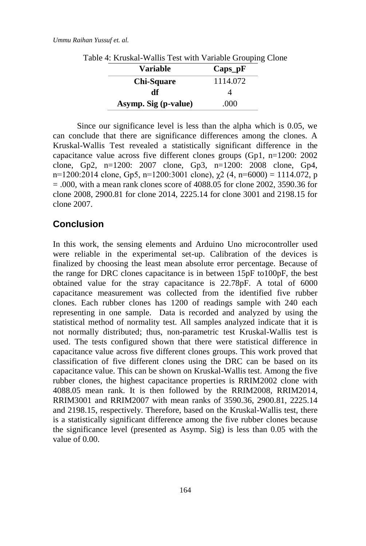| <b>Variable</b>      | $Caps$ <sub>-</sub> $p$ $F$ |
|----------------------|-----------------------------|
| <b>Chi-Square</b>    | 1114.072                    |
| df                   |                             |
| Asymp. Sig (p-value) | .000                        |

Table 4: Kruskal-Wallis Test with Variable Grouping Clone

Since our significance level is less than the alpha which is 0.05, we can conclude that there are significance differences among the clones. A Kruskal-Wallis Test revealed a statistically significant difference in the capacitance value across five different clones groups (Gp1, n=1200: 2002 clone, Gp2, n=1200: 2007 clone, Gp3, n=1200: 2008 clone, Gp4, n=1200:2014 clone, Gp5, n=1200:3001 clone),  $\gamma$ 2 (4, n=6000) = 1114.072, p  $= .000$ , with a mean rank clones score of 4088.05 for clone 2002, 3590.36 for clone 2008, 2900.81 for clone 2014, 2225.14 for clone 3001 and 2198.15 for clone 2007.

## **Conclusion**

In this work, the sensing elements and Arduino Uno microcontroller used were reliable in the experimental set-up. Calibration of the devices is finalized by choosing the least mean absolute error percentage. Because of the range for DRC clones capacitance is in between 15pF to100pF, the best obtained value for the stray capacitance is 22.78pF. A total of 6000 capacitance measurement was collected from the identified five rubber clones. Each rubber clones has 1200 of readings sample with 240 each representing in one sample. Data is recorded and analyzed by using the statistical method of normality test. All samples analyzed indicate that it is not normally distributed; thus, non-parametric test Kruskal-Wallis test is used. The tests configured shown that there were statistical difference in capacitance value across five different clones groups. This work proved that classification of five different clones using the DRC can be based on its capacitance value. This can be shown on Kruskal-Wallis test. Among the five rubber clones, the highest capacitance properties is RRIM2002 clone with 4088.05 mean rank. It is then followed by the RRIM2008, RRIM2014, RRIM3001 and RRIM2007 with mean ranks of 3590.36, 2900.81, 2225.14 and 2198.15, respectively. Therefore, based on the Kruskal-Wallis test, there is a statistically significant difference among the five rubber clones because the significance level (presented as Asymp. Sig) is less than 0.05 with the value of 0.00.